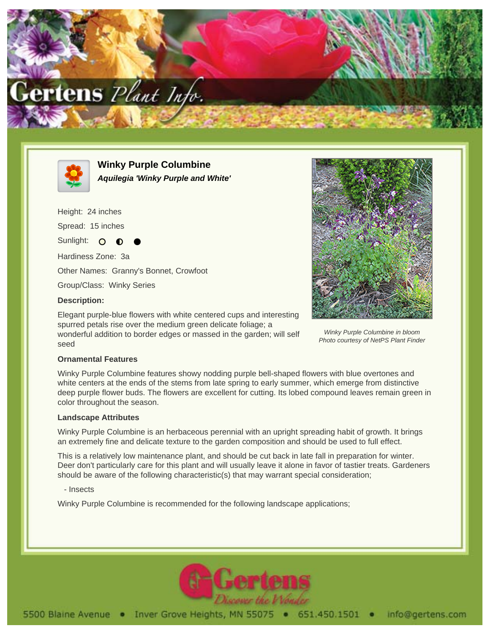



**Winky Purple Columbine Aquilegia 'Winky Purple and White'**

Height: 24 inches

Spread: 15 inches

Sunlight: O

Hardiness Zone: 3a

Other Names: Granny's Bonnet, Crowfoot

Group/Class: Winky Series

## **Description:**

Elegant purple-blue flowers with white centered cups and interesting spurred petals rise over the medium green delicate foliage; a wonderful addition to border edges or massed in the garden; will self seed



Winky Purple Columbine in bloom Photo courtesy of NetPS Plant Finder

## **Ornamental Features**

Winky Purple Columbine features showy nodding purple bell-shaped flowers with blue overtones and white centers at the ends of the stems from late spring to early summer, which emerge from distinctive deep purple flower buds. The flowers are excellent for cutting. Its lobed compound leaves remain green in color throughout the season.

## **Landscape Attributes**

Winky Purple Columbine is an herbaceous perennial with an upright spreading habit of growth. It brings an extremely fine and delicate texture to the garden composition and should be used to full effect.

This is a relatively low maintenance plant, and should be cut back in late fall in preparation for winter. Deer don't particularly care for this plant and will usually leave it alone in favor of tastier treats. Gardeners should be aware of the following characteristic(s) that may warrant special consideration;

- Insects

Winky Purple Columbine is recommended for the following landscape applications;